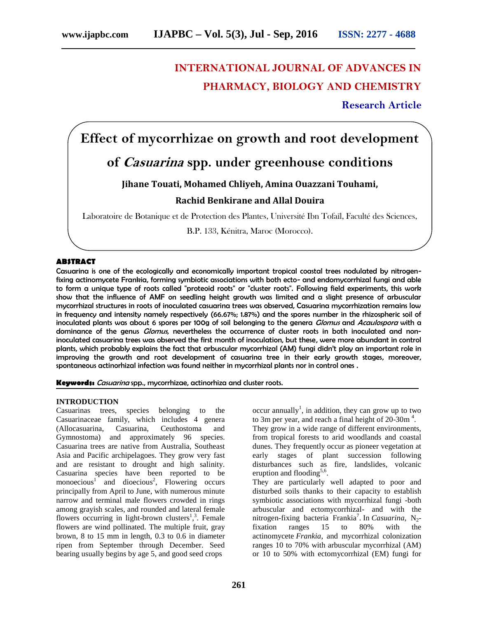# **INTERNATIONAL JOURNAL OF ADVANCES IN PHARMACY, BIOLOGY AND CHEMISTRY**

**Research Article**

# **Effect of mycorrhizae on growth and root development**

## **of** *Casuarina* **spp. under greenhouse conditions**

### **Jihane Touati, Mohamed Chliyeh, Amina Ouazzani Touhami,**

### **Rachid Benkirane and Allal Douira**

Laboratoire de Botanique et de Protection des Plantes, Université Ibn Tofaïl, Faculté des Sciences,

B.P. 133, Kénitra, Maroc (Morocco).

#### **ABSTRACT**

Casuarina is one of the ecologically and economically important tropical coastal trees nodulated by nitrogenfixing actinomycete Frankia, forming symbiotic associations with both ecto- and endomycorrhizal fungi and able to form a unique type of roots called "proteoid roots" or "cluster roots". Following field experiments, this work show that the influence of AMF on seedling height growth was limited and a slight presence of arbuscular mycorrhizal structures in roots of inoculated casuarina trees was observed, Casuarina mycorrhization remains low in frequency and intensity namely respectively (66.67%; 1.87%) and the spores number in the rhizospheric soil of inoculated plants was about 6 spores per 100g of soil belonging to the genera *Glomus* and *Acaulospora* with a dominance of the genus *Glomus*, nevertheless the occurrence of cluster roots in both inoculated and noninoculated casuarina trees was observed the first month of inoculation, but these, were more abundant in control plants, which probably explains the fact that arbuscular mycorrhizal (AM) fungi didn't play an important role in improving the growth and root development of casuarina tree in their early growth stages, moreover, spontaneous actinorhizal infection was found neither in mycorrhizal plants nor in control ones .

**Keywords:** *Casuarina* spp., mycorrhizae, actinorhiza and cluster roots.

#### **INTRODUCTION**

Casuarinas trees, species belonging to the Casuarinaceae family, which includes 4 genera (Allocasuarina, Casuarina, Ceuthostoma and Gymnostoma) and approximately 96 species. Casuarina trees are native from Australia, Southeast Asia and Pacific archipelagoes. They grow very fast and are resistant to drought and high salinity. Casuarina species have been reported to be monoecious<sup>1</sup> and dioecious<sup>2</sup>, Flowering occurs principally from April to June, with numerous minute narrow and terminal male flowers crowded in rings among grayish scales, and rounded and lateral female flowers occurring in light-brown clusters<sup>1,3</sup>. Female flowers are wind pollinated. The multiple fruit, gray brown, 8 to 15 mm in length, 0.3 to 0.6 in diameter ripen from September through December. Seed bearing usually begins by age 5, and good seed crops

occur annually<sup>1</sup>, in addition, they can grow up to two to 3m per year, and reach a final height of  $20$ -30m<sup>4</sup>.

They grow in a wide range of different environments, from tropical forests to arid woodlands and coastal dunes. They frequently occur as pioneer vegetation at early stages of plant succession following disturbances such as fire, landslides, volcanic eruption and flooding<sup>5,6</sup>.

They are particularly well adapted to poor and disturbed soils thanks to their capacity to establish symbiotic associations with mycorrhizal fungi -both arbuscular and ectomycorrhizal- and with the nitrogen-fixing bacteria Frankia<sup>7</sup>. In *Casuarina*, N<sub>2</sub>fixation ranges 15 to 80% with the actinomycete *Frankia*, and mycorrhizal colonization ranges 10 to 70% with arbuscular mycorrhizal (AM) or 10 to 50% with ectomycorrhizal (EM) fungi for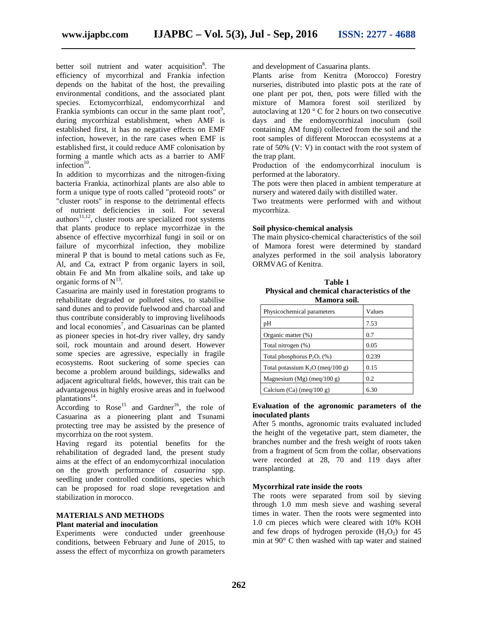better soil nutrient and water acquisition<sup>8</sup>. The efficiency of mycorrhizal and Frankia infection depends on the habitat of the host, the prevailing environmental conditions, and the associated plant species. Ectomycorrhizal, endomycorrhizal and Frankia symbionts can occur in the same plant root<sup>9</sup>, during mycorrhizal establishment, when AMF is established first, it has no negative effects on EMF infection, however, in the rare cases when EMF is established first, it could reduce AMF colonisation by forming a mantle which acts as a barrier to AMF infection $10$ .

In addition to mycorrhizas and the nitrogen-fixing bacteria Frankia, actinorhizal plants are also able to form a unique type of roots called "proteoid roots" or "cluster roots" in response to the detrimental effects of nutrient deficiencies in soil. For several authors<sup>11,12</sup>, cluster roots are specialized root systems that plants produce to replace mycorrhizae in the absence of effective mycorrhizal fungi in soil or on failure of mycorrhizal infection, they mobilize mineral P that is bound to metal cations such as Fe, Al, and Ca, extract P from organic layers in soil, obtain Fe and Mn from alkaline soils, and take up organic forms of  $N^{13}$ .

Casuarina are mainly used in forestation programs to rehabilitate degraded or polluted sites, to stabilise sand dunes and to provide fuelwood and charcoal and thus contribute considerably to improving livelihoods and local economies<sup>7</sup>, and Casuarinas can be planted as pioneer species in hot-dry river valley, dry sandy soil, rock mountain and around desert. However some species are agressive, especially in fragile ecosystems. Root suckering of some species can become a problem around buildings, sidewalks and adjacent agricultural fields, however, this trait can be advantageous in highly erosive areas and in fuelwood plantations<sup>14</sup>.

According to  $Rose^{15}$  and Gardner<sup>16</sup>, the role of Casuarina as a pioneering plant and Tsunami protecting tree may be assisted by the presence of mycorrhiza on the root system.

Having regard its potential benefits for the rehabilitation of degraded land, the present study aims at the effect of an endomycorrhizal inoculation on the growth performance of *casuarina* spp. seedling under controlled conditions, species which can be proposed for road slope revegetation and stabilization in morocco.

#### **MATERIALS AND METHODS Plant material and inoculation**

Experiments were conducted under greenhouse conditions, between February and June of 2015, to assess the effect of mycorrhiza on growth parameters

and development of Casuarina plants.

Plants arise from Kenitra (Morocco) Forestry nurseries, distributed into plastic pots at the rate of one plant per pot, then, pots were filled with the mixture of Mamora forest soil sterilized by autoclaving at 120 ° C for 2 hours on two consecutive days and the endomycorrhizal inoculum (soil containing AM fungi) collected from the soil and the root samples of different Moroccan ecosystems at a rate of 50% (V: V) in contact with the root system of the trap plant.

Production of the endomycorrhizal inoculum is performed at the laboratory.

The pots were then placed in ambient temperature at nursery and watered daily with distilled water.

Two treatments were performed with and without mycorrhiza.

#### **Soil physico-chemical analysis**

The main physico-chemical characteristics of the soil of Mamora forest were determined by standard analyzes performed in the soil analysis laboratory ORMVAG of Kenitra.

| Table 1                                      |  |
|----------------------------------------------|--|
| Physical and chemical characteristics of the |  |
| Mamora soil.                                 |  |

| Physicochemical parameters         | Values |
|------------------------------------|--------|
| pH                                 | 7.53   |
| Organic matter (%)                 | 0.7    |
| Total nitrogen (%)                 | 0.05   |
| Total phosphorus $P_2O_5$ (%)      | 0.239  |
| Total potassium $K_2O$ (meg/100 g) | 0.15   |
| Magnesium (Mg) (meq/100 g)         | 0.2    |
| Calcium (Ca) (meq/100 g)           | 6.30   |

#### **Evaluation of the agronomic parameters of the inoculated plants**

After 5 months, agronomic traits evaluated included the height of the vegetative part, stem diameter, the branches number and the fresh weight of roots taken from a fragment of 5cm from the collar, observations were recorded at 28, 70 and 119 days after transplanting.

#### **Mycorrhizal rate inside the roots**

The roots were separated from soil by sieving through 1.0 mm mesh sieve and washing several times in water. Then the roots were segmented into 1.0 cm pieces which were cleared with 10% KOH and few drops of hydrogen peroxide  $(H_2O_2)$  for 45 min at 90° C then washed with tap water and stained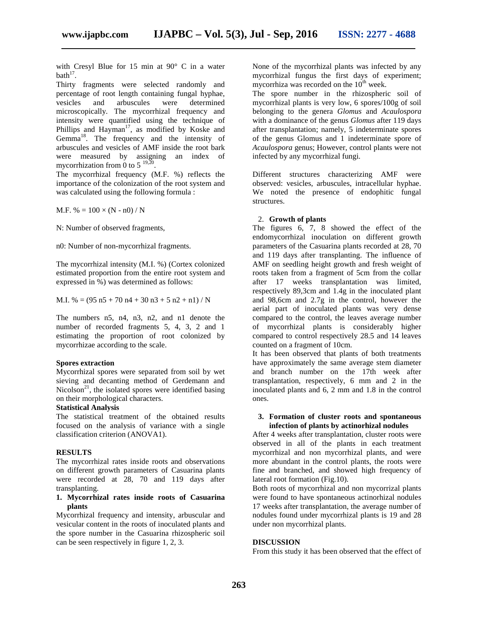with Cresyl Blue for 15 min at 90° C in a water  $\mathbf{b}$ ath<sup>17</sup>.

Thirty fragments were selected randomly and percentage of root length containing fungal hyphae, vesicles and arbuscules were determined microscopically. The mycorrhizal frequency and intensity were quantified using the technique of Phillips and Hayman<sup>17</sup>, as modified by Koske and Gemma<sup>18</sup>. The frequency and the intensity of arbuscules and vesicles of AMF inside the root bark were measured by assigning an index of mycorrhization from 0 to 5  $^{19,20}$ .

The mycorrhizal frequency (M.F. %) reflects the importance of the colonization of the root system and was calculated using the following formula :

M.F. % =  $100 \times (N - n0) / N$ 

N: Number of observed fragments,

n0: Number of non-mycorrhizal fragments.

The mycorrhizal intensity (M.I. %) (Cortex colonized estimated proportion from the entire root system and expressed in %) was determined as follows:

M.I. % = 
$$
(95 \text{ n}5 + 70 \text{ n}4 + 30 \text{ n}3 + 5 \text{ n}2 + \text{ n}1) / N
$$

The numbers n5, n4, n3, n2, and n1 denote the number of recorded fragments 5, 4, 3, 2 and 1 estimating the proportion of root colonized by mycorrhizae according to the scale.

#### **Spores extraction**

Mycorrhizal spores were separated from soil by wet sieving and decanting method of Gerdemann and Nicolson<sup>21</sup>, the isolated spores were identified basing on their morphological characters.

#### **Statistical Analysis**

The statistical treatment of the obtained results focused on the analysis of variance with a single classification criterion (ANOVA1).

#### **RESULTS**

The mycorrhizal rates inside roots and observations on different growth parameters of Casuarina plants were recorded at 28, 70 and 119 days after transplanting.

#### **1. Mycorrhizal rates inside roots of Casuarina plants**

Mycorrhizal frequency and intensity, arbuscular and vesicular content in the roots of inoculated plants and the spore number in the Casuarina rhizospheric soil can be seen respectively in figure 1, 2, 3.

None of the mycorrhizal plants was infected by any mycorrhizal fungus the first days of experiment; mycorrhiza was recorded on the  $10<sup>th</sup>$  week.

The spore number in the rhizospheric soil of mycorrhizal plants is very low, 6 spores/100g of soil belonging to the genera *Glomus* and *Acaulospora* with a dominance of the genus *Glomus* after 119 days after transplantation; namely, 5 indeterminate spores of the genus Glomus and 1 indeterminate spore of *Acaulospora* genus; However, control plants were not infected by any mycorrhizal fungi.

Different structures characterizing AMF were observed: vesicles, arbuscules, intracellular hyphae. We noted the presence of endophitic fungal structures.

#### 2. **Growth of plants**

The figures 6, 7, 8 showed the effect of the endomycorrhizal inoculation on different growth parameters of the Casuarina plants recorded at 28, 70 and 119 days after transplanting. The influence of AMF on seedling height growth and fresh weight of roots taken from a fragment of 5cm from the collar after 17 weeks transplantation was limited, respectively 89,3cm and 1.4g in the inoculated plant and 98,6cm and 2.7g in the control, however the aerial part of inoculated plants was very dense compared to the control, the leaves average number of mycorrhizal plants is considerably higher compared to control respectively 28.5 and 14 leaves counted on a fragment of 10cm.

It has been observed that plants of both treatments have approximately the same average stem diameter and branch number on the 17th week after transplantation, respectively, 6 mm and 2 in the inoculated plants and 6, 2 mm and 1.8 in the control ones.

#### **3. Formation of cluster roots and spontaneous infection of plants by actinorhizal nodules**

After 4 weeks after transplantation, cluster roots were observed in all of the plants in each treatment mycorrhizal and non mycorrhizal plants, and were more abundant in the control plants, the roots were fine and branched, and showed high frequency of lateral root formation (Fig.10).

Both roots of mycorrhizal and non mycorrizal plants were found to have spontaneous actinorhizal nodules 17 weeks after transplantation, the average number of nodules found under mycorrhizal plants is 19 and 28 under non mycorrhizal plants.

#### **DISCUSSION**

From this study it has been observed that the effect of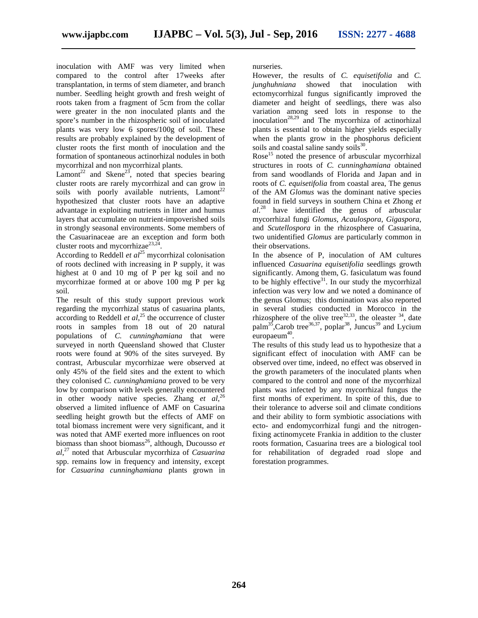inoculation with AMF was very limited when compared to the control after 17weeks after transplantation, in terms of stem diameter, and branch number. Seedling height growth and fresh weight of roots taken from a fragment of 5cm from the collar were greater in the non inoculated plants and the spore's number in the rhizospheric soil of inoculated plants was very low 6 spores/100g of soil. These results are probably explained by the development of cluster roots the first month of inoculation and the formation of spontaneous actinorhizal nodules in both mycorrhizal and non mycorrhizal plants.

 $Lamont^{22}$  and Skene<sup>23</sup>, noted that species bearing cluster roots are rarely mycorrhizal and can grow in soils with poorly available nutrients,  $L$ amont<sup>22</sup> hypothesized that cluster roots have an adaptive advantage in exploiting nutrients in litter and humus layers that accumulate on nutrient-impoverished soils in strongly seasonal environments. Some members of the Casuarinaceae are an exception and form both cluster roots and mycorrhizae $^{23,24}$ .

According to Reddell *et al*<sup>25</sup> mycorrhizal colonisation of roots declined with increasing in P supply, it was highest at 0 and 10 mg of P per kg soil and no mycorrhizae formed at or above 100 mg P per kg soil.

The result of this study support previous work regarding the mycorrhizal status of casuarina plants, according to Reddell *et al*,<sup>25</sup> the occurrence of cluster roots in samples from 18 out of 20 natural populations of *C. cunninghamiana* that were surveyed in north Queensland showed that Cluster roots were found at 90% of the sites surveyed. By contrast, Arbuscular mycorrhizae were observed at only 45% of the field sites and the extent to which they colonised *C. cunninghamiana* proved to be very low by comparison with levels generally encountered in other woody native species. Zhang *et*  $al$ ,<sup>26</sup>, observed a limited influence of AMF on Casuarina seedling height growth but the effects of AMF on total biomass increment were very significant, and it was noted that AMF exerted more influences on root biomass than shoot biomass<sup>26</sup>, although, Ducousso  $et$ *al*,<sup>27</sup> noted that Arbuscular mycorrhiza of *Casuarina* spp. remains low in frequency and intensity, except for *Casuarina cunninghamiana* plants grown in

nurseries.

However, the results of *C. equisetifolia* and *C.* showed that inoculation with ectomycorrhizal fungus significantly improved the diameter and height of seedlings, there was also variation among seed lots in response to the inoculation<sup>28,29</sup> and The mycorrhiza of actinorhizal plants is essential to obtain higher yields especially when the plants grow in the phosphorus deficient soils and coastal saline sandy soils $^{30}$ .

Rose<sup>15</sup> noted the presence of arbuscular mycorrhizal structures in roots of *C. cunninghamiana* obtained from sand woodlands of Florida and Japan and in roots of *C. equisetifolia* from coastal area, The genus of the AM *Glomus* was the dominant native species found in field surveys in southern China et Zhong *et al*.<sup>28</sup> have identified the genus of arbuscular mycorrhizal fungi *Glomus*, *Acaulospora*, *Gigaspora*, and *Scutellospora* in the rhizosphere of Casuarina, two unidentified *Glomus* are particularly common in their observations.

In the absence of P, inoculation of AM cultures influenced *Casuarina equisetifolia* seedlings growth significantly. Among them, G. fasiculatum was found to be highly effective<sup>31</sup>. In our study the mycorrhizal infection was very low and we noted a dominance of the genus Glomus; this domination was also reported in several studies conducted in Morocco in the rhizosphere of the olive tree<sup>32,33</sup>, the oleaster  $34$ , date palm<sup>35</sup>,Carob tree<sup>36,37</sup>, poplar<sup>38</sup>, Juncus<sup>39</sup> and Lycium europaeum $40$ . .

The results of this study lead us to hypothesize that a significant effect of inoculation with AMF can be observed over time, indeed, no effect was observed in the growth parameters of the inoculated plants when compared to the control and none of the mycorrhizal plants was infected by any mycorrhizal fungus the first months of experiment. In spite of this, due to their tolerance to adverse soil and climate conditions and their ability to form symbiotic associations with ecto- and endomycorrhizal fungi and the nitrogenfixing actinomycete Frankia in addition to the cluster roots formation, Casuarina trees are a biological tool for rehabilitation of degraded road slope and forestation programmes.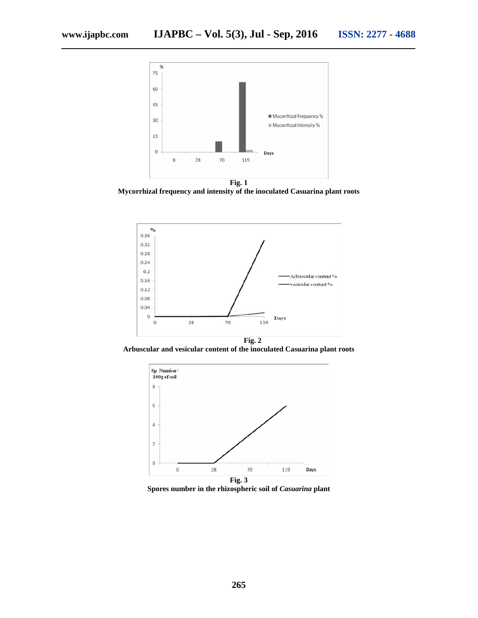

**Mycorrhizal frequency and intensity of the inoculated Casuarina plant roots**



**Arbuscular and vesicular content of the inoculated Casuarina plant roots**



**Spores number in the rhizospheric soil of** *Casuarina* **plant**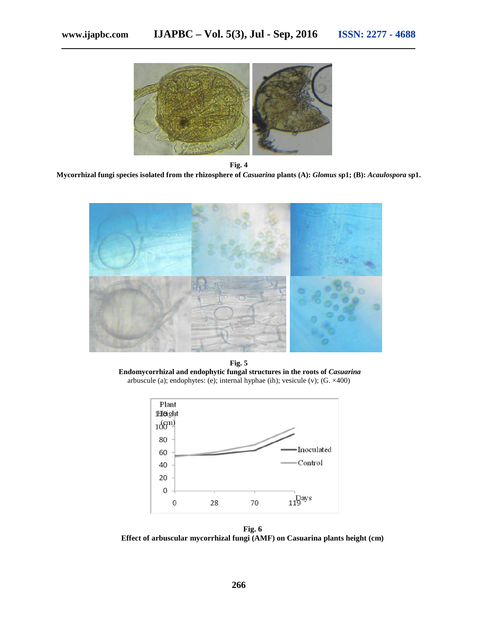

**Fig. 4 Mycorrhizal fungi species isolated from the rhizosphere of** *Casuarina* **plants (A):** *Glomus* **sp1; (B):** *Acaulospora* **sp1.**



**Fig. 5 Endomycorrhizal and endophytic fungal structures in the roots of** *Casuarina* arbuscule (a); endophytes: (e); internal hyphae (ih); vesicule (v); (G. ×400)



**Fig. 6 Effect of arbuscular mycorrhizal fungi (AMF) on Casuarina plants height (cm)**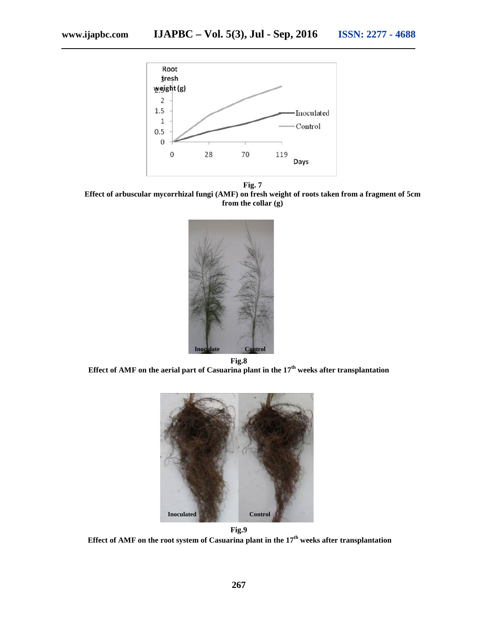

**Fig. 7 Effect of arbuscular mycorrhizal fungi (AMF) on fresh weight of roots taken from a fragment of 5cm from the collar (g)**



**Effect of AMF on the aerial part of Casuarina plant in the 17th weeks after transplantation**



**Fig.9 Effect of AMF on the root system of Casuarina plant in the 17th weeks after transplantation**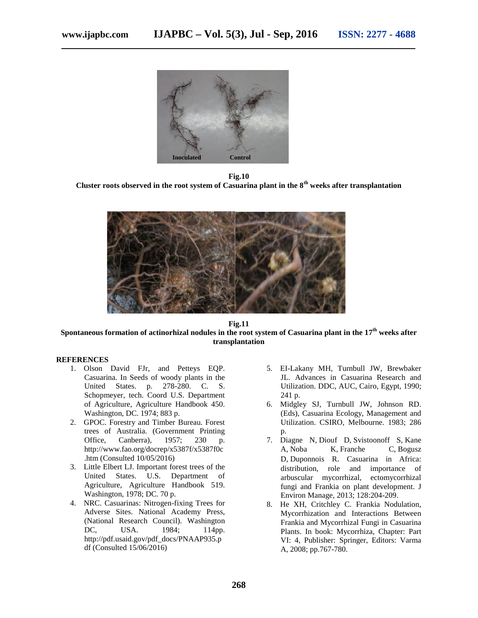

**Fig.10 Cluster roots observed in the root system of Casuarina plant in the 8th weeks after transplantation**



#### **Fig.11 Spontaneous formation of actinorhizal nodules in the root system of Casuarina plant in the 17th weeks after transplantation**

#### **REFERENCES**

- 1. Olson David FJr, and Petteys EQP. Casuarina. In Seeds of woody plants in the United States. p. 278-280. C. S. Schopmeyer, tech. Coord U.S. Department of Agriculture, Agriculture Handbook 450. Washington, DC. 1974; 883 p.
- 2. GPOC. Forestry and Timber Bureau. Forest trees of Australia. (Government Printing Office, Canberra), 1957; 230 p. http://www.fao.org/docrep/x5387f/x5387f0c .htm (Consulted 10/05/2016)
- 3. Little Elbert LJ. Important forest trees of the United States. U.S. Department of Agriculture, Agriculture Handbook 519. Washington, 1978; DC. 70 p.
- 4. NRC. Casuarinas: Nitrogen-fixing Trees for Adverse Sites. National Academy Press, (National Research Council). Washington DC, USA. 1984; 114pp. http://pdf.usaid.gov/pdf\_docs/PNAAP935.p df (Consulted 15/06/2016)
- 5. EI-Lakany MH, Turnbull JW, Brewbaker JL. Advances in Casuarina Research and Utilization. DDC, AUC, Cairo, Egypt, 1990; 241 p.
- 6. Midgley SJ, Turnbull JW, Johnson RD. (Eds), Casuarina Ecology, Management and Utilization. CSIRO, Melbourne. 1983; 286 p.
- 7. Diagne N, Diouf D, Svistoonoff S, Kane A, Noba K, Franche C, Bogusz D, Duponnois R. Casuarina in Africa: distribution, role and importance of arbuscular mycorrhizal, ectomycorrhizal fungi and Frankia on plant development. J Environ Manage, 2013; 128:204-209.
- 8. He XH, Critchley C. Frankia Nodulation, Mycorrhization and Interactions Between Frankia and Mycorrhizal Fungi in Casuarina Plants. In book: Mycorrhiza, Chapter: Part VI: 4, Publisher: Springer, Editors: Varma A, 2008; pp.767-780.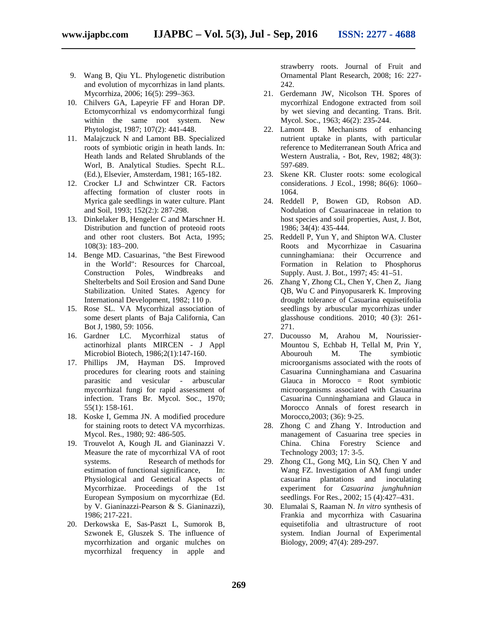- 9. Wang B, Qiu YL. Phylogenetic distribution and evolution of mycorrhizas in land plants. Mycorrhiza, 2006; 16(5): 299–363.
- 10. Chilvers GA, Lapeyrie FF and Horan DP. Ectomycorrhizal vs endomycorrhizal fungi within the same root system. New Phytologist, 1987; 107(2): 441-448.
- 11. Malajczuck N and Lamont BB. Specialized roots of symbiotic origin in heath lands. In: Heath lands and Related Shrublands of the Worl, B. Analytical Studies. Specht R.L. (Ed.), Elsevier, Amsterdam, 1981; 165-182.
- 12. Crocker LJ and Schwintzer CR. Factors affecting formation of cluster roots in Myrica gale seedlings in water culture. Plant and Soil, 1993; 152(2:): 287-298.
- 13. Dinkelaker B, Hengeler C and Marschner H. Distribution and function of proteoid roots and other root clusters. Bot Acta, 1995; 108(3): 183–200.
- 14. Benge MD. Casuarinas, "the Best Firewood in the World": Resources for Charcoal, Construction Poles, Windbreaks and Shelterbelts and Soil Erosion and Sand Dune Stabilization. United States. Agency for International Development, 1982; 110 p.
- 15. Rose SL. VA Mycorrhizal association of some desert plants of Baja California, Can Bot J, 1980, 59: 1056.
- 16. Gardner LC. Mycorrhizal status of actinorhizal plants MIRCEN - J Appl Microbiol Biotech, 1986;2(1):147-160.
- 17. Phillips JM, Hayman DS. Improved procedures for clearing roots and staining parasitic and vesicular - arbuscular mycorrhizal fungi for rapid assessment of infection. Trans Br. Mycol. Soc., 1970; 55(1): 158-161.
- 18. Koske I, Gemma JN. A modified procedure for staining roots to detect VA mycorrhizas. Mycol. Res., 1980; 92: 486-505.
- 19. Trouvelot A, Kough JL and Gianinazzi V. Measure the rate of mycorrhizal VA of root systems. Research of methods for estimation of functional significance, In: Physiological and Genetical Aspects of Mycorrhizae. Proceedings of the 1st European Symposium on mycorrhizae (Ed. by V. Gianinazzi-Pearson & S. Gianinazzi), 1986; 217-221.
- 20. Derkowska E, Sas-Paszt L, Sumorok B, Szwonek E, Gluszek S. The influence of mycorrhization and organic mulches on mycorrhizal frequency in apple and

strawberry roots. Journal of Fruit and Ornamental Plant Research, 2008; 16: 227- 242.

- 21. Gerdemann JW, Nicolson TH. Spores of mycorrhizal Endogone extracted from soil by wet sieving and decanting. Trans. Brit. Mycol. Soc., 1963; 46(2): 235-244.
- 22. Lamont B. Mechanisms of enhancing nutrient uptake in plants, with particular reference to Mediterranean South Africa and Western Australia, - Bot, Rev, 1982; 48(3): 597-689.
- 23. Skene KR. Cluster roots: some ecological considerations. J Ecol., 1998; 86(6): 1060– 1064.
- 24. Reddell P, Bowen GD, Robson AD. Nodulation of Casuarinaceae in relation to host species and soil properties, Aust, J. Bot, 1986; 34(4): 435-444.
- 25. Reddell P, Yun Y, and Shipton WA. Cluster Roots and Mycorrhizae in Casuarina cunninghamiana: their Occurrence and Formation in Relation to Phosphorus Supply. Aust. J. Bot., 1997; 45: 41–51.
- 26. Zhang Y, Zhong CL, Chen Y, Chen Z, Jiang QB, Wu C and Pinyopusarerk K. Improving drought tolerance of Casuarina equisetifolia seedlings by arbuscular mycorrhizas under glasshouse conditions. 2010; 40 (3): 261- 271.
- 27. Ducousso M, Arahou M, Nourissier- Mountou S, Echbab H, Tellal M, Prin Y, Abourouh M. The symbiotic microorganisms associated with the roots of Casuarina Cunninghamiana and Casuarina Glauca in Morocco = Root symbiotic microorganisms associated with Casuarina Casuarina Cunninghamiana and Glauca in Morocco Annals of forest research in Morocco,2003; (36): 9-25.
- 28. Zhong C and Zhang Y. Introduction and management of Casuarina tree species in China. China Forestry Science and Technology 2003; 17: 3-5.
- 29. Zhong CL, Gong MQ, Lin SQ, Chen Y and Wang FZ. Investigation of AM fungi under casuarina plantations and inoculating experiment for *Casuarina junghuhnian* seedlings. For Res., 2002; 15 (4):427–431.
- 30. Elumalai S, Raaman N. *In vitro* synthesis of Frankia and mycorrhiza with Casuarina equisetifolia and ultrastructure of root system. Indian Journal of Experimental Biology, 2009; 47(4): 289-297.